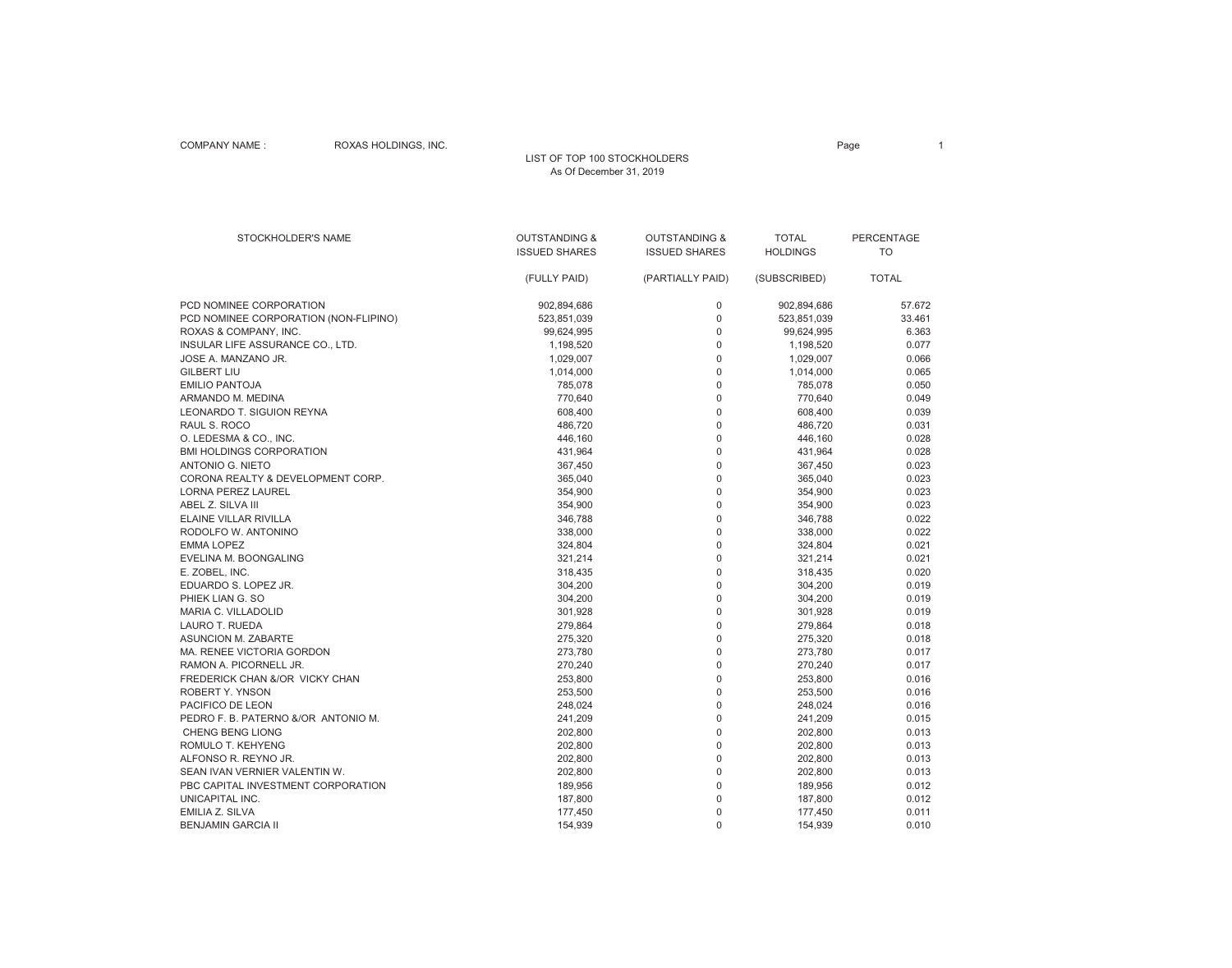## COMPANY NAME : ROXAS HOLDINGS, INC.

#### LIST OF TOP 100 STOCKHOLDERS As Of December 31, 2019

| <b>STOCKHOLDER'S NAME</b>             | <b>OUTSTANDING &amp;</b> | <b>OUTSTANDING &amp;</b> | <b>TOTAL</b>    | PERCENTAGE   |
|---------------------------------------|--------------------------|--------------------------|-----------------|--------------|
|                                       | <b>ISSUED SHARES</b>     | <b>ISSUED SHARES</b>     | <b>HOLDINGS</b> | <b>TO</b>    |
|                                       |                          |                          |                 |              |
|                                       | (FULLY PAID)             | (PARTIALLY PAID)         | (SUBSCRIBED)    | <b>TOTAL</b> |
| PCD NOMINEE CORPORATION               | 902,894,686              | 0                        | 902,894,686     | 57.672       |
| PCD NOMINEE CORPORATION (NON-FLIPINO) | 523,851,039              | $\mathsf 0$              | 523,851,039     | 33.461       |
| ROXAS & COMPANY, INC.                 | 99,624,995               | $\Omega$                 | 99,624,995      | 6.363        |
| INSULAR LIFE ASSURANCE CO., LTD.      | 1,198,520                | $\mathbf 0$              | 1,198,520       | 0.077        |
| JOSE A. MANZANO JR.                   | 1,029,007                | $\mathsf 0$              | 1,029,007       | 0.066        |
| <b>GILBERT LIU</b>                    | 1,014,000                | $\overline{0}$           | 1,014,000       | 0.065        |
| <b>EMILIO PANTOJA</b>                 | 785,078                  | 0                        | 785,078         | 0.050        |
| ARMANDO M. MEDINA                     | 770,640                  | $\mathsf 0$              | 770,640         | 0.049        |
| <b>LEONARDO T. SIGUION REYNA</b>      | 608,400                  | $\overline{0}$           | 608,400         | 0.039        |
| RAUL S. ROCO                          | 486,720                  | 0                        | 486,720         | 0.031        |
| O. LEDESMA & CO., INC.                | 446,160                  | $\overline{0}$           | 446,160         | 0.028        |
| <b>BMI HOLDINGS CORPORATION</b>       | 431,964                  | $\Omega$                 | 431,964         | 0.028        |
| ANTONIO G. NIETO                      | 367,450                  | $\mathbf 0$              | 367,450         | 0.023        |
| CORONA REALTY & DEVELOPMENT CORP.     | 365,040                  | 0                        | 365,040         | 0.023        |
| <b>LORNA PEREZ LAUREL</b>             | 354,900                  | $\overline{0}$           | 354,900         | 0.023        |
| ABEL Z. SILVA III                     | 354,900                  | $\mathbf 0$              | 354,900         | 0.023        |
| <b>ELAINE VILLAR RIVILLA</b>          | 346,788                  | $\overline{0}$           | 346,788         | 0.022        |
| RODOLFO W. ANTONINO                   | 338,000                  | 0                        | 338,000         | 0.022        |
| <b>EMMA LOPEZ</b>                     | 324,804                  | $\overline{0}$           | 324,804         | 0.021        |
| EVELINA M. BOONGALING                 | 321,214                  | $\Omega$                 | 321,214         | 0.021        |
| E. ZOBEL, INC.                        | 318,435                  | 0                        | 318,435         | 0.020        |
| EDUARDO S. LOPEZ JR.                  | 304,200                  | $\Omega$                 | 304,200         | 0.019        |
| PHIEK LIAN G. SO                      | 304,200                  | 0                        | 304,200         | 0.019        |
| MARIA C. VILLADOLID                   | 301,928                  | 0                        | 301,928         | 0.019        |
| LAURO T. RUEDA                        | 279,864                  | 0                        | 279,864         | 0.018        |
| <b>ASUNCION M. ZABARTE</b>            | 275,320                  | 0                        | 275,320         | 0.018        |
| MA. RENEE VICTORIA GORDON             | 273,780                  | $\Omega$                 | 273,780         | 0.017        |
| RAMON A. PICORNELL JR.                | 270,240                  | 0                        | 270,240         | 0.017        |
| FREDERICK CHAN &/OR VICKY CHAN        | 253,800                  | 0                        | 253,800         | 0.016        |
| ROBERT Y. YNSON                       | 253,500                  | $\overline{0}$           | 253,500         | 0.016        |
| PACIFICO DE LEON                      | 248,024                  | 0                        | 248,024         | 0.016        |
| PEDRO F. B. PATERNO &/OR ANTONIO M.   | 241,209                  | 0                        | 241,209         | 0.015        |
| <b>CHENG BENG LIONG</b>               | 202,800                  | $\overline{0}$           | 202,800         | 0.013        |
| ROMULO T. KEHYENG                     | 202,800                  | 0                        | 202,800         | 0.013        |
| ALFONSO R. REYNO JR.                  | 202,800                  | 0                        | 202,800         | 0.013        |
| SEAN IVAN VERNIER VALENTIN W.         | 202,800                  | $\overline{0}$           | 202,800         | 0.013        |
| PBC CAPITAL INVESTMENT CORPORATION    | 189,956                  | 0                        | 189,956         | 0.012        |
| UNICAPITAL INC.                       | 187,800                  | $\overline{0}$           | 187,800         | 0.012        |
| EMILIA Z. SILVA                       | 177,450                  | $\Omega$                 | 177,450         | 0.011        |
| <b>BENJAMIN GARCIA II</b>             | 154,939                  | 0                        | 154,939         | 0.010        |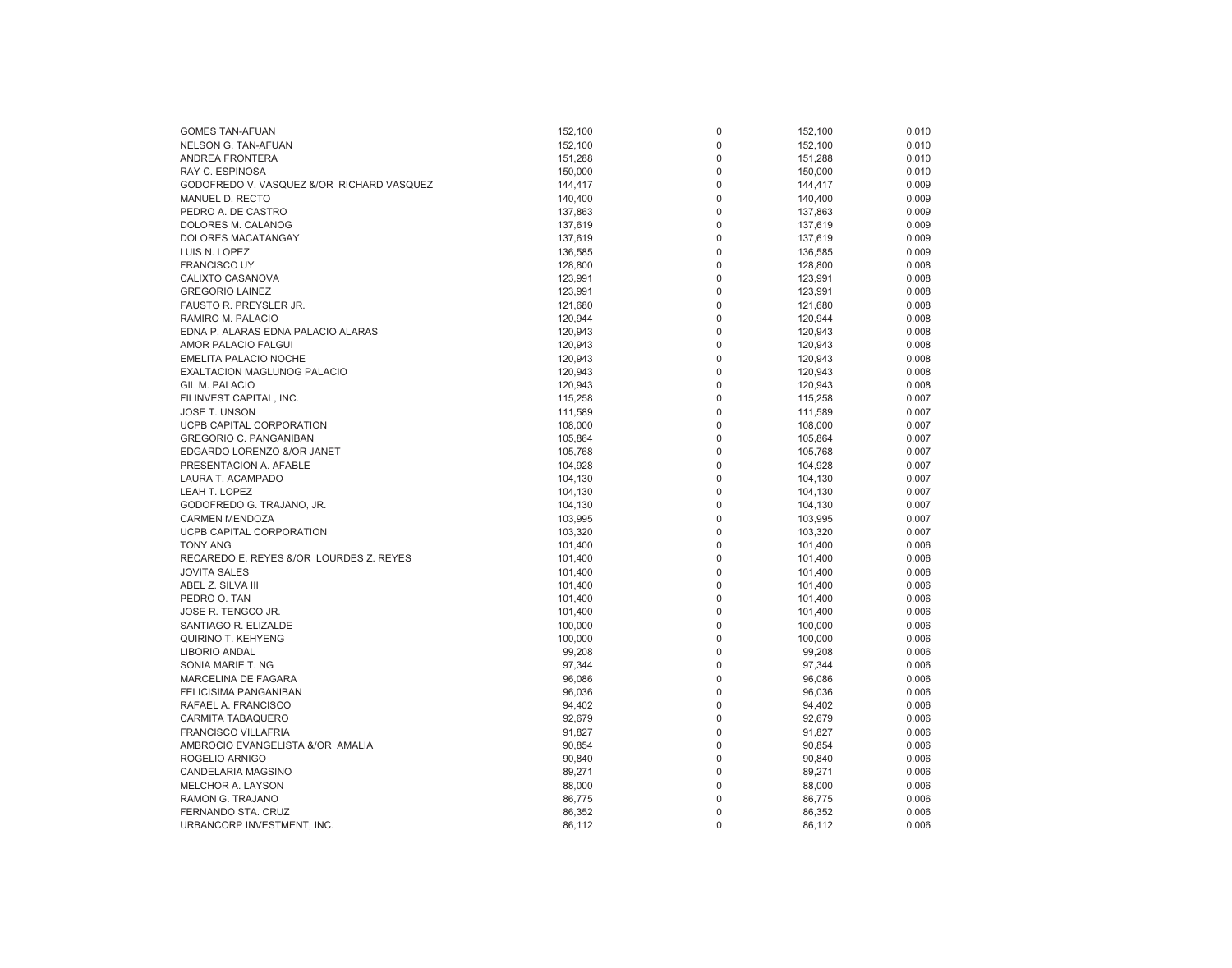| <b>GOMES TAN-AFUAN</b>                    | 152,100 | 0 | 152,100 | 0.010 |
|-------------------------------------------|---------|---|---------|-------|
| NELSON G. TAN-AFUAN                       | 152,100 | 0 | 152,100 | 0.010 |
| <b>ANDREA FRONTERA</b>                    | 151,288 | 0 | 151,288 | 0.010 |
| RAY C. ESPINOSA                           | 150,000 | 0 | 150,000 | 0.010 |
| GODOFREDO V. VASQUEZ &/OR RICHARD VASQUEZ | 144,417 | 0 | 144,417 | 0.009 |
| MANUEL D. RECTO                           |         | 0 | 140,400 | 0.009 |
|                                           | 140,400 |   |         |       |
| PEDRO A. DE CASTRO                        | 137,863 | 0 | 137,863 | 0.009 |
| DOLORES M. CALANOG                        | 137,619 | 0 | 137,619 | 0.009 |
| DOLORES MACATANGAY                        | 137,619 | 0 | 137,619 | 0.009 |
| LUIS N. LOPEZ                             | 136,585 | 0 | 136,585 | 0.009 |
| <b>FRANCISCO UY</b>                       | 128,800 | 0 | 128,800 | 0.008 |
| CALIXTO CASANOVA                          | 123,991 | 0 | 123,991 | 0.008 |
| <b>GREGORIO LAINEZ</b>                    | 123,991 | 0 | 123,991 | 0.008 |
| FAUSTO R. PREYSLER JR.                    | 121,680 | 0 | 121,680 | 0.008 |
| RAMIRO M. PALACIO                         | 120,944 | 0 | 120,944 | 0.008 |
| EDNA P. ALARAS EDNA PALACIO ALARAS        | 120,943 | 0 | 120,943 | 0.008 |
| AMOR PALACIO FALGUI                       | 120,943 | 0 | 120,943 | 0.008 |
| <b>EMELITA PALACIO NOCHE</b>              | 120,943 | 0 | 120,943 | 0.008 |
| <b>EXALTACION MAGLUNOG PALACIO</b>        | 120,943 | 0 | 120,943 | 0.008 |
| GIL M. PALACIO                            | 120,943 | 0 | 120,943 | 0.008 |
| FILINVEST CAPITAL, INC.                   | 115,258 | 0 | 115,258 | 0.007 |
| <b>JOSE T. UNSON</b>                      | 111,589 | 0 | 111,589 | 0.007 |
| UCPB CAPITAL CORPORATION                  | 108,000 | 0 | 108,000 | 0.007 |
| <b>GREGORIO C. PANGANIBAN</b>             | 105,864 | 0 | 105,864 | 0.007 |
| EDGARDO LORENZO &/OR JANET                | 105,768 | 0 | 105,768 | 0.007 |
| PRESENTACION A. AFABLE                    | 104,928 | 0 | 104,928 | 0.007 |
| LAURA T. ACAMPADO                         | 104,130 | 0 | 104,130 | 0.007 |
| LEAH T. LOPEZ                             | 104,130 | 0 | 104,130 | 0.007 |
| GODOFREDO G. TRAJANO, JR.                 | 104,130 | 0 | 104,130 | 0.007 |
| <b>CARMEN MENDOZA</b>                     | 103,995 | 0 | 103,995 | 0.007 |
| UCPB CAPITAL CORPORATION                  | 103,320 | 0 | 103,320 | 0.007 |
| <b>TONY ANG</b>                           | 101,400 | 0 | 101,400 | 0.006 |
| RECAREDO E. REYES &/OR LOURDES Z. REYES   |         | 0 |         | 0.006 |
|                                           | 101,400 |   | 101,400 |       |
| <b>JOVITA SALES</b>                       | 101,400 | 0 | 101,400 | 0.006 |
| ABEL Z. SILVA III                         | 101,400 | 0 | 101,400 | 0.006 |
| PEDRO O. TAN                              | 101,400 | 0 | 101,400 | 0.006 |
| JOSE R. TENGCO JR.                        | 101,400 | 0 | 101,400 | 0.006 |
| SANTIAGO R. ELIZALDE                      | 100,000 | 0 | 100,000 | 0.006 |
| <b>QUIRINO T. KEHYENG</b>                 | 100,000 | 0 | 100,000 | 0.006 |
| <b>LIBORIO ANDAL</b>                      | 99,208  | 0 | 99,208  | 0.006 |
| SONIA MARIE T. NG                         | 97,344  | 0 | 97,344  | 0.006 |
| <b>MARCELINA DE FAGARA</b>                | 96,086  | 0 | 96,086  | 0.006 |
| <b>FELICISIMA PANGANIBAN</b>              | 96,036  | 0 | 96,036  | 0.006 |
| RAFAEL A. FRANCISCO                       | 94,402  | 0 | 94,402  | 0.006 |
| CARMITA TABAQUERO                         | 92,679  | 0 | 92,679  | 0.006 |
| <b>FRANCISCO VILLAFRIA</b>                | 91,827  | 0 | 91,827  | 0.006 |
| AMBROCIO EVANGELISTA &/OR AMALIA          | 90,854  | 0 | 90,854  | 0.006 |
| ROGELIO ARNIGO                            | 90,840  | 0 | 90,840  | 0.006 |
| CANDELARIA MAGSINO                        | 89,271  | 0 | 89,271  | 0.006 |
| <b>MELCHOR A. LAYSON</b>                  | 88,000  | 0 | 88,000  | 0.006 |
| RAMON G. TRAJANO                          | 86,775  | 0 | 86,775  | 0.006 |
| FERNANDO STA. CRUZ                        | 86,352  | 0 | 86,352  | 0.006 |
| URBANCORP INVESTMENT, INC.                | 86,112  | 0 | 86,112  | 0.006 |
|                                           |         |   |         |       |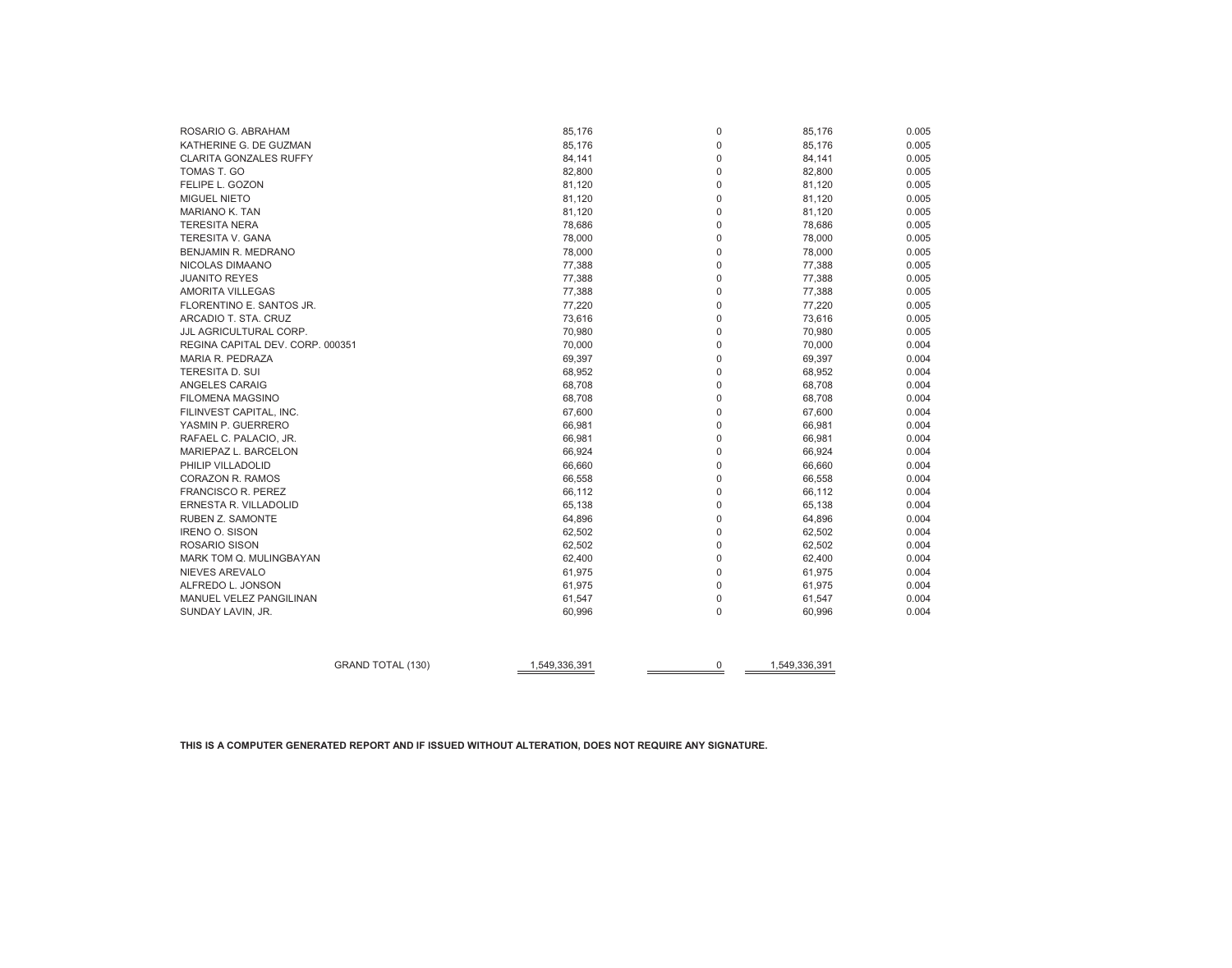# **THIS IS A COMPUTER GENERATED REPORT AND IF ISSUED WITHOUT ALTERATION, DOES NOT REQUIRE ANY SIGNATURE.**

|                                  | <b>GRAND TOTAL (130)</b> | 1,549,336,391 | 0                          | 1,549,336,391 |                |
|----------------------------------|--------------------------|---------------|----------------------------|---------------|----------------|
|                                  |                          |               |                            |               |                |
| SUNDAY LAVIN, JR.                |                          | 60,996        | $\mathbf 0$                | 60,996        | 0.004          |
| MANUEL VELEZ PANGILINAN          |                          | 61,547        | $\mathbf 0$                | 61,547        | 0.004          |
| ALFREDO L. JONSON                |                          | 61,975        | $\mathbf 0$                | 61,975        | 0.004          |
| NIEVES AREVALO                   |                          | 61,975        | $\mathbf 0$                | 61,975        | 0.004          |
| MARK TOM Q. MULINGBAYAN          |                          | 62,400        | $\mathbf 0$                | 62,400        | 0.004          |
| ROSARIO SISON                    |                          | 62,502        | $\mathbf 0$                | 62,502        | 0.004          |
| <b>IRENO O. SISON</b>            |                          | 62,502        | $\mathbf 0$                | 62,502        | 0.004          |
| RUBEN Z. SAMONTE                 |                          | 64,896        | $\mathbf 0$                | 64,896        | 0.004          |
| ERNESTA R. VILLADOLID            |                          | 65,138        | $\mathbf 0$                | 65,138        | 0.004          |
| <b>FRANCISCO R. PEREZ</b>        |                          | 66,112        | $\mathbf 0$                | 66,112        | 0.004          |
| CORAZON R. RAMOS                 |                          | 66,558        | $\mathbf 0$                | 66,558        | 0.004          |
| PHILIP VILLADOLID                |                          | 66,660        | $\mathbf 0$                | 66,660        | 0.004          |
| MARIEPAZ L. BARCELON             |                          | 66,924        | $\mathbf 0$                | 66,924        | 0.004          |
| RAFAEL C. PALACIO, JR.           |                          | 66,981        | $\mathbf 0$                | 66,981        | 0.004          |
| YASMIN P. GUERRERO               |                          | 66,981        | $\mathbf 0$                | 66,981        | 0.004          |
| FILINVEST CAPITAL, INC.          |                          | 67,600        | $\mathbf 0$                | 67,600        | 0.004          |
| <b>FILOMENA MAGSINO</b>          |                          | 68,708        | $\mathbf 0$                | 68,708        | 0.004          |
| ANGELES CARAIG                   |                          | 68,708        | $\mathbf 0$                | 68,708        | 0.004          |
| <b>TERESITA D. SUI</b>           |                          | 68,952        | $\mathbf 0$                | 68,952        | 0.004          |
| MARIA R. PEDRAZA                 |                          | 69,397        | $\mathbf 0$                | 69,397        | 0.004          |
| REGINA CAPITAL DEV. CORP. 000351 |                          | 70,000        | 0                          | 70,000        | 0.004          |
| JJL AGRICULTURAL CORP.           |                          | 70,980        | $\mathbf 0$                | 70,980        | 0.005          |
| ARCADIO T. STA. CRUZ             |                          | 73,616        | $\mathbf 0$                | 73,616        | 0.005          |
| FLORENTINO E. SANTOS JR.         |                          | 77,220        | $\mathbf 0$                | 77,220        | 0.005          |
| <b>AMORITA VILLEGAS</b>          |                          | 77,388        | $\mathbf 0$                | 77,388        | 0.005          |
| <b>JUANITO REYES</b>             |                          | 77,388        | $\mathbf 0$                | 77,388        | 0.005          |
| NICOLAS DIMAANO                  |                          | 77,388        | $\mathbf 0$                | 77,388        | 0.005          |
| BENJAMIN R. MEDRANO              |                          | 78,000        | $\mathbf 0$                | 78,000        | 0.005          |
| <b>TERESITA V. GANA</b>          |                          | 78,000        | $\mathbf 0$                | 78,000        | 0.005          |
| <b>TERESITA NERA</b>             |                          | 78,686        | $\mathbf 0$                | 78,686        | 0.005          |
| <b>MARIANO K. TAN</b>            |                          | 81,120        | $\mathbf 0$                | 81,120        | 0.005          |
| MIGUEL NIETO                     |                          | 81,120        | $\mathbf 0$                | 81,120        | 0.005          |
| FELIPE L. GOZON                  |                          | 81,120        | $\mathbf 0$                | 81,120        | 0.005          |
| TOMAS T. GO                      |                          | 82,800        | 0                          | 82,800        | 0.005          |
| <b>CLARITA GONZALES RUFFY</b>    |                          | 84,141        | $\mathbf 0$                | 84,141        | 0.005          |
| KATHERINE G. DE GUZMAN           |                          | 85,176        |                            | 85,176        |                |
| ROSARIO G. ABRAHAM               |                          | 85,176        | $\mathbf 0$<br>$\mathbf 0$ | 85,176        | 0.005<br>0.005 |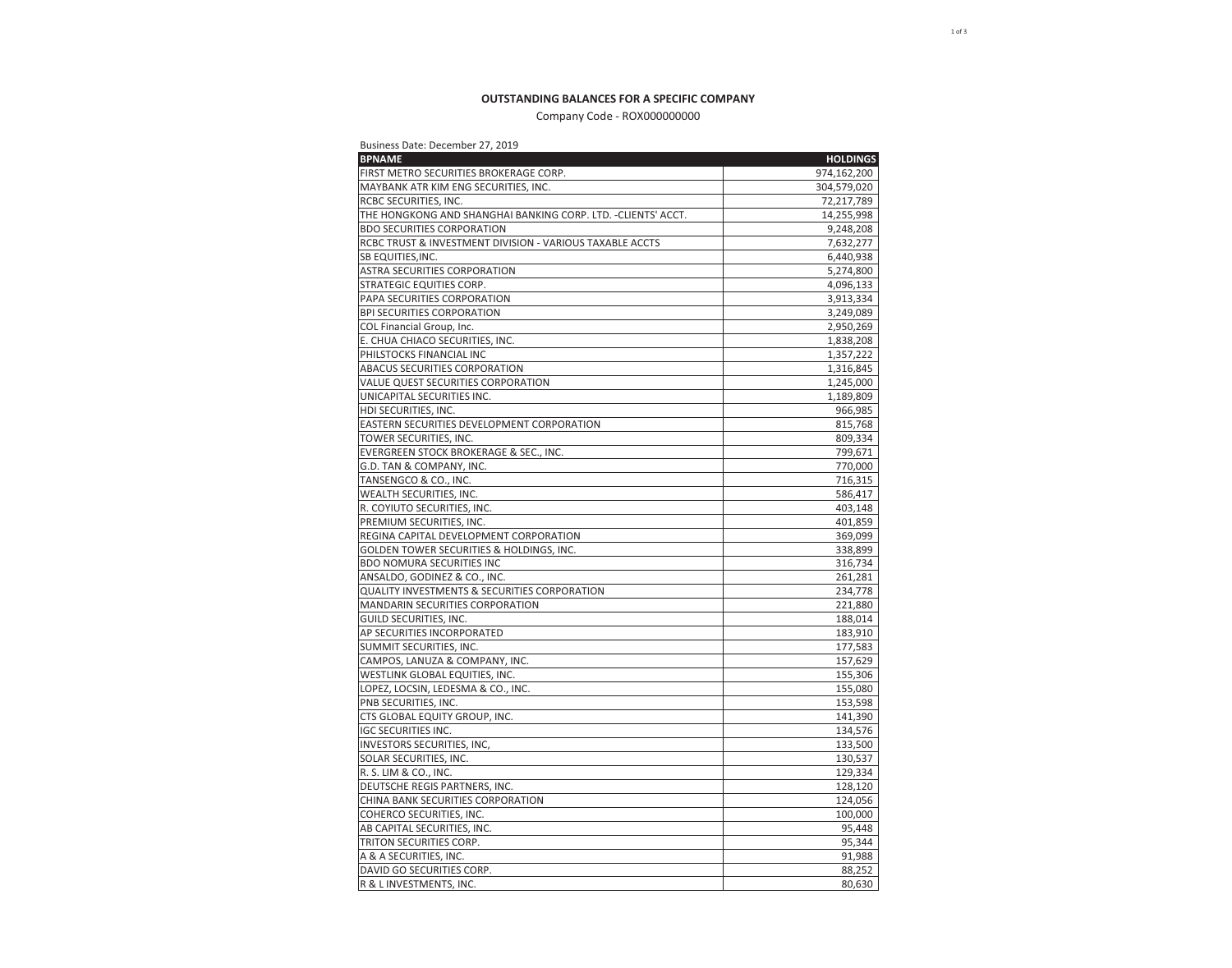# **OUTSTANDING BALANCES FOR A SPECIFIC COMPANY**

# Company Code - ROX000000000

## Business Date: December 27, 2019

| <b>BPNAME</b>                                                 | <b>HOLDINGS</b> |
|---------------------------------------------------------------|-----------------|
| FIRST METRO SECURITIES BROKERAGE CORP.                        | 974,162,200     |
| MAYBANK ATR KIM ENG SECURITIES, INC.                          | 304,579,020     |
| RCBC SECURITIES, INC.                                         | 72,217,789      |
| THE HONGKONG AND SHANGHAI BANKING CORP. LTD. - CLIENTS' ACCT. | 14,255,998      |
| <b>BDO SECURITIES CORPORATION</b>                             | 9,248,208       |
| RCBC TRUST & INVESTMENT DIVISION - VARIOUS TAXABLE ACCTS      | 7,632,277       |
| SB EQUITIES, INC.                                             | 6,440,938       |
| ASTRA SECURITIES CORPORATION                                  | 5,274,800       |
| STRATEGIC EQUITIES CORP.                                      | 4,096,133       |
| PAPA SECURITIES CORPORATION                                   | 3,913,334       |
| <b>BPI SECURITIES CORPORATION</b>                             | 3,249,089       |
| COL Financial Group, Inc.                                     | 2,950,269       |
| E. CHUA CHIACO SECURITIES, INC.                               | 1,838,208       |
| PHILSTOCKS FINANCIAL INC                                      | 1,357,222       |
| ABACUS SECURITIES CORPORATION                                 | 1,316,845       |
| VALUE QUEST SECURITIES CORPORATION                            | 1,245,000       |
| UNICAPITAL SECURITIES INC.                                    | 1,189,809       |
| HDI SECURITIES, INC.                                          | 966,985         |
| EASTERN SECURITIES DEVELOPMENT CORPORATION                    | 815,768         |
| TOWER SECURITIES, INC.                                        | 809,334         |
| EVERGREEN STOCK BROKERAGE & SEC., INC.                        | 799,671         |
| G.D. TAN & COMPANY, INC.                                      | 770,000         |
| TANSENGCO & CO., INC.                                         | 716,315         |
| WEALTH SECURITIES, INC.                                       | 586,417         |
| R. COYIUTO SECURITIES, INC.                                   | 403,148         |
| PREMIUM SECURITIES, INC.                                      | 401,859         |
| REGINA CAPITAL DEVELOPMENT CORPORATION                        | 369,099         |
| GOLDEN TOWER SECURITIES & HOLDINGS, INC.                      | 338,899         |
| <b>BDO NOMURA SECURITIES INC</b>                              | 316,734         |
| ANSALDO, GODINEZ & CO., INC.                                  | 261,281         |
| <b>QUALITY INVESTMENTS &amp; SECURITIES CORPORATION</b>       | 234,778         |
| <b>MANDARIN SECURITIES CORPORATION</b>                        | 221,880         |
| GUILD SECURITIES, INC.                                        | 188,014         |
| AP SECURITIES INCORPORATED                                    | 183,910         |
| SUMMIT SECURITIES, INC.                                       | 177,583         |
| CAMPOS, LANUZA & COMPANY, INC.                                | 157,629         |
| WESTLINK GLOBAL EQUITIES, INC.                                | 155,306         |
| LOPEZ, LOCSIN, LEDESMA & CO., INC.                            | 155,080         |
| PNB SECURITIES, INC.                                          | 153,598         |
| CTS GLOBAL EQUITY GROUP, INC.                                 | 141,390         |
| <b>IGC SECURITIES INC.</b>                                    | 134,576         |
| INVESTORS SECURITIES, INC,                                    | 133,500         |
| SOLAR SECURITIES, INC.                                        | 130,537         |
| R. S. LIM & CO., INC.                                         | 129,334         |
| DEUTSCHE REGIS PARTNERS, INC.                                 | 128,120         |
| CHINA BANK SECURITIES CORPORATION                             | 124,056         |
| COHERCO SECURITIES, INC.                                      | 100,000         |
| AB CAPITAL SECURITIES, INC.                                   | 95,448          |
| TRITON SECURITIES CORP.                                       | 95,344          |
| A & A SECURITIES, INC.                                        | 91,988          |
| DAVID GO SECURITIES CORP.                                     | 88,252          |
| R & L INVESTMENTS, INC.                                       | 80,630          |
|                                                               |                 |